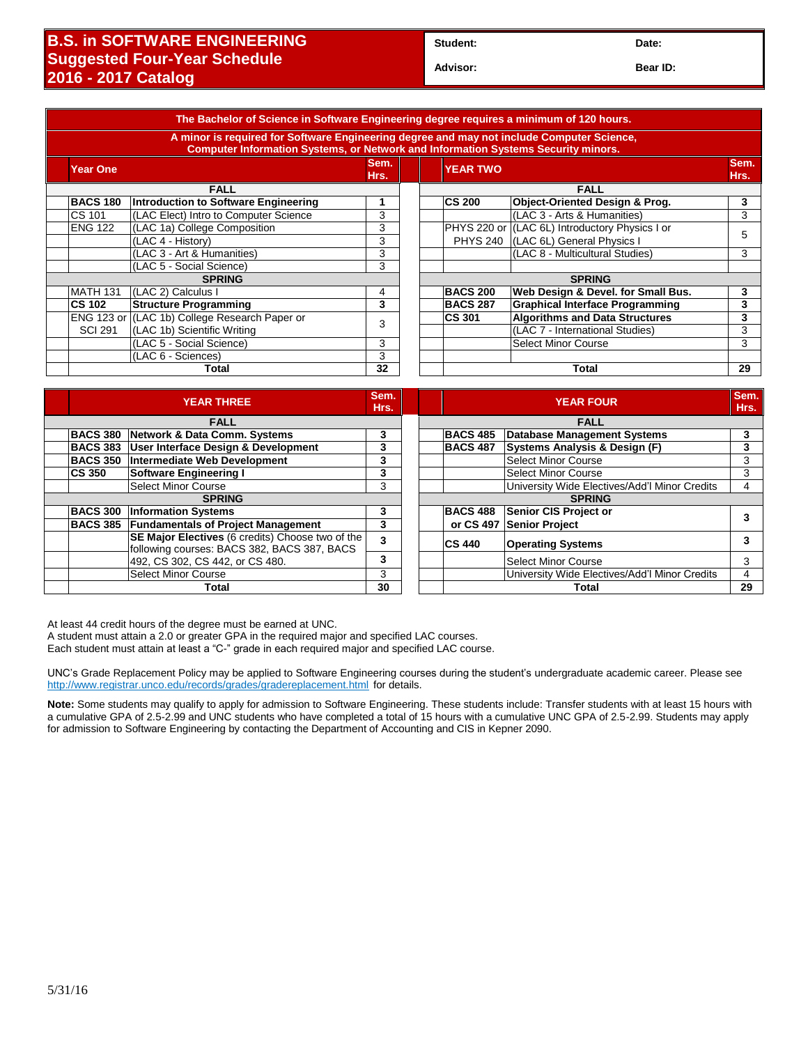## **B.S. in SOFTWARE ENGINEERING Suggested Four-Year Schedule 2016 - 2017 Catalog**

**Student: Date:**

**Advisor: Bear ID:** 

|                 | A minor is required for Software Engineering degree and may not include Computer Science,<br><b>Computer Information Systems, or Network and Information Systems Security minors.</b> |              |                 |                                                |              |
|-----------------|---------------------------------------------------------------------------------------------------------------------------------------------------------------------------------------|--------------|-----------------|------------------------------------------------|--------------|
| Year One        |                                                                                                                                                                                       | Sem.<br>Hrs. | <b>YEAR TWO</b> |                                                | Sem.<br>Hrs. |
|                 | <b>FALL</b>                                                                                                                                                                           |              |                 | <b>FALL</b>                                    |              |
| <b>BACS 180</b> | Introduction to Software Engineering                                                                                                                                                  |              | <b>CS 200</b>   | Object-Oriented Design & Prog.                 | 3            |
| CS 101          | (LAC Elect) Intro to Computer Science                                                                                                                                                 | 3            |                 | (LAC 3 - Arts & Humanities)                    | 3            |
| <b>ENG 122</b>  | (LAC 1a) College Composition                                                                                                                                                          | 3            |                 | PHYS 220 or (LAC 6L) Introductory Physics I or |              |
|                 | (LAC 4 - History)                                                                                                                                                                     | 3            |                 | PHYS 240 (LAC 6L) General Physics I            | 5            |
|                 | (LAC 3 - Art & Humanities)                                                                                                                                                            | 3            |                 | (LAC 8 - Multicultural Studies)                | 3            |
|                 | (LAC 5 - Social Science)                                                                                                                                                              | 3            |                 |                                                |              |
|                 | <b>SPRING</b>                                                                                                                                                                         |              |                 | <b>SPRING</b>                                  |              |
| <b>MATH 131</b> | (LAC 2) Calculus I                                                                                                                                                                    | 4            | <b>BACS 200</b> | Web Design & Devel. for Small Bus.             | 3            |
| <b>CS 102</b>   | <b>Structure Programming</b>                                                                                                                                                          | 3            | <b>BACS 287</b> | <b>Graphical Interface Programming</b>         | 3            |
|                 | ENG 123 or (LAC 1b) College Research Paper or                                                                                                                                         | 3            | <b>CS 301</b>   | <b>Algorithms and Data Structures</b>          | 3            |
| <b>SCI 291</b>  | (LAC 1b) Scientific Writing                                                                                                                                                           |              |                 | (LAC 7 - International Studies)                | 3            |
|                 | (LAC 5 - Social Science)                                                                                                                                                              | 3            |                 | <b>Select Minor Course</b>                     | 3            |
|                 | (LAC 6 - Sciences)                                                                                                                                                                    | 3            |                 |                                                |              |
| 32<br>Total     |                                                                                                                                                                                       |              |                 | Total                                          | 29           |

|               |                 | <b>YEAR THREE</b>                                                                               | Sem.<br>Hrs. |                 | <b>YEAR FOUR</b>                              | Sem.<br>Hrs. |
|---------------|-----------------|-------------------------------------------------------------------------------------------------|--------------|-----------------|-----------------------------------------------|--------------|
| <b>FALL</b>   |                 |                                                                                                 |              | <b>FALL</b>     |                                               |              |
|               | <b>BACS 380</b> | Network & Data Comm. Systems                                                                    | 3            | <b>BACS 485</b> | <b>Database Management Systems</b>            | 3            |
|               | <b>BACS 383</b> | User Interface Design & Development                                                             | 3            | <b>BACS 487</b> | Systems Analysis & Design (F)                 |              |
|               | <b>BACS 350</b> | Intermediate Web Development                                                                    | 3            |                 | <b>Select Minor Course</b>                    | 3            |
|               | <b>CS 350</b>   | Software Engineering I                                                                          | 3            |                 | Select Minor Course                           | 3            |
|               |                 | <b>Select Minor Course</b>                                                                      | 3            |                 | University Wide Electives/Add'l Minor Credits | 4            |
| <b>SPRING</b> |                 |                                                                                                 |              | <b>SPRING</b>   |                                               |              |
|               | <b>BACS 300</b> | <b>Information Systems</b>                                                                      | 3            | <b>BACS 488</b> | Senior CIS Project or                         |              |
|               | <b>BACS 385</b> | <b>Fundamentals of Project Management</b>                                                       | 3            |                 | or CS 497 Senior Project                      |              |
|               |                 | SE Major Electives (6 credits) Choose two of the<br>following courses: BACS 382, BACS 387, BACS | 3            | <b>CS 440</b>   | <b>Operating Systems</b>                      |              |
|               |                 | 492, CS 302, CS 442, or CS 480.                                                                 | 3            |                 | Select Minor Course                           | 3            |
|               |                 | <b>Select Minor Course</b>                                                                      | 3            |                 | University Wide Electives/Add'l Minor Credits | 4            |
|               | Total           |                                                                                                 | 30           | Total           |                                               | 29           |
|               |                 |                                                                                                 |              |                 |                                               |              |

At least 44 credit hours of the degree must be earned at UNC.

A student must attain a 2.0 or greater GPA in the required major and specified LAC courses.

Each student must attain at least a "C-" grade in each required major and specified LAC course.

UNC's Grade Replacement Policy may be applied to Software Engineering courses during the student's undergraduate academic career. Please see <http://www.registrar.unco.edu/records/grades/gradereplacement.html> for details.

**Note:** Some students may qualify to apply for admission to Software Engineering. These students include: Transfer students with at least 15 hours with a cumulative GPA of 2.5-2.99 and UNC students who have completed a total of 15 hours with a cumulative UNC GPA of 2.5-2.99. Students may apply for admission to Software Engineering by contacting the Department of Accounting and CIS in Kepner 2090.